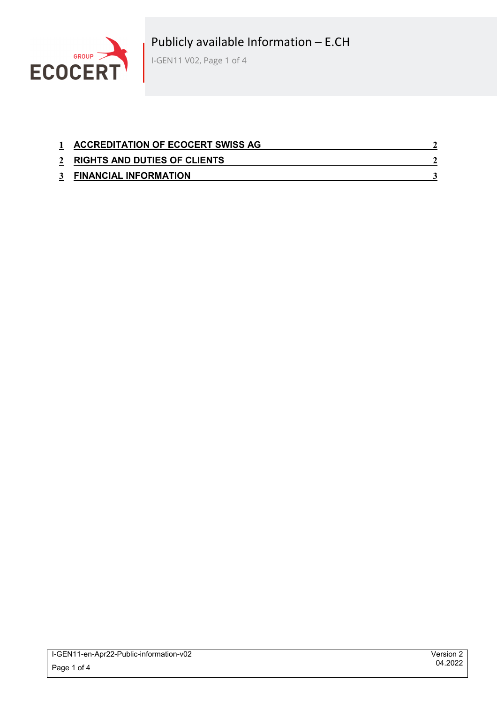

| <b>ACCREDITATION OF ECOCERT SWISS AG</b> |  |
|------------------------------------------|--|
| 2 RIGHTS AND DUTIES OF CLIENTS           |  |
| <b>FINANCIAL INFORMATION</b>             |  |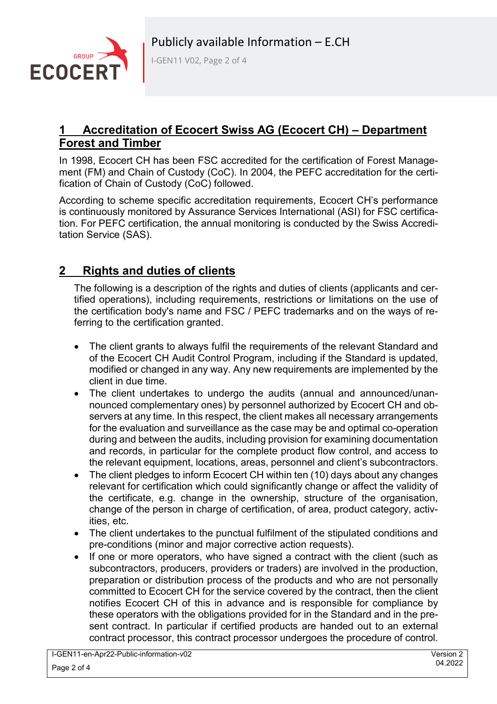

I-GEN11 V02, Page 2 of 4

### **1 Accreditation of Ecocert Swiss AG (Ecocert CH) – Department Forest and Timber**

In 1998, Ecocert CH has been FSC accredited for the certification of Forest Management (FM) and Chain of Custody (CoC). In 2004, the PEFC accreditation for the certification of Chain of Custody (CoC) followed.

According to scheme specific accreditation requirements, Ecocert CH's performance is continuously monitored by Assurance Services International (ASI) for FSC certification. For PEFC certification, the annual monitoring is conducted by the Swiss Accreditation Service (SAS).

### **2 Rights and duties of clients**

The following is a description of the rights and duties of clients (applicants and certified operations), including requirements, restrictions or limitations on the use of the certification body's name and FSC / PEFC trademarks and on the ways of referring to the certification granted.

- The client grants to always fulfil the requirements of the relevant Standard and of the Ecocert CH Audit Control Program, including if the Standard is updated, modified or changed in any way. Any new requirements are implemented by the client in due time.
- The client undertakes to undergo the audits (annual and announced/unannounced complementary ones) by personnel authorized by Ecocert CH and observers at any time. In this respect, the client makes all necessary arrangements for the evaluation and surveillance as the case may be and optimal co-operation during and between the audits, including provision for examining documentation and records, in particular for the complete product flow control, and access to the relevant equipment, locations, areas, personnel and client's subcontractors.
- The client pledges to inform Ecocert CH within ten (10) days about any changes relevant for certification which could significantly change or affect the validity of the certificate, e.g. change in the ownership, structure of the organisation, change of the person in charge of certification, of area, product category, activities, etc.
- The client undertakes to the punctual fulfilment of the stipulated conditions and pre-conditions (minor and major corrective action requests).
- If one or more operators, who have signed a contract with the client (such as subcontractors, producers, providers or traders) are involved in the production, preparation or distribution process of the products and who are not personally committed to Ecocert CH for the service covered by the contract, then the client notifies Ecocert CH of this in advance and is responsible for compliance by these operators with the obligations provided for in the Standard and in the present contract. In particular if certified products are handed out to an external contract processor, this contract processor undergoes the procedure of control.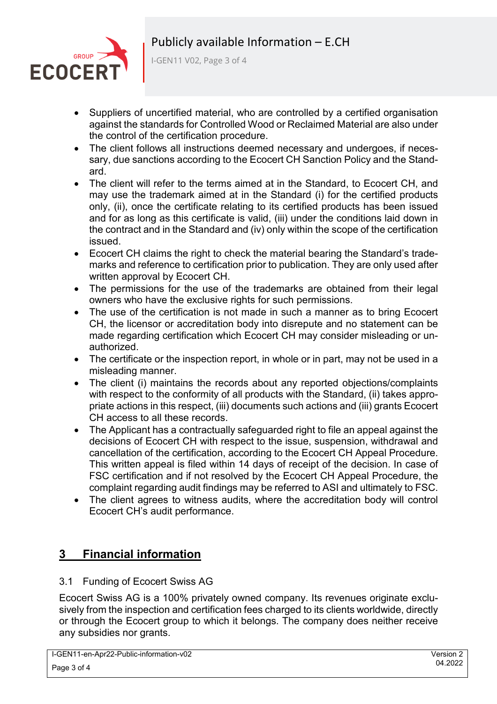

I-GEN11 V02, Page 3 of 4

- Suppliers of uncertified material, who are controlled by a certified organisation against the standards for Controlled Wood or Reclaimed Material are also under the control of the certification procedure.
- The client follows all instructions deemed necessary and undergoes, if necessary, due sanctions according to the Ecocert CH Sanction Policy and the Standard.
- The client will refer to the terms aimed at in the Standard, to Ecocert CH, and may use the trademark aimed at in the Standard (i) for the certified products only, (ii), once the certificate relating to its certified products has been issued and for as long as this certificate is valid, (iii) under the conditions laid down in the contract and in the Standard and (iv) only within the scope of the certification issued.
- Ecocert CH claims the right to check the material bearing the Standard's trademarks and reference to certification prior to publication. They are only used after written approval by Ecocert CH.
- The permissions for the use of the trademarks are obtained from their legal owners who have the exclusive rights for such permissions.
- The use of the certification is not made in such a manner as to bring Ecocert CH, the licensor or accreditation body into disrepute and no statement can be made regarding certification which Ecocert CH may consider misleading or unauthorized.
- The certificate or the inspection report, in whole or in part, may not be used in a misleading manner.
- The client (i) maintains the records about any reported objections/complaints with respect to the conformity of all products with the Standard, (ii) takes appropriate actions in this respect, (iii) documents such actions and (iii) grants Ecocert CH access to all these records.
- The Applicant has a contractually safeguarded right to file an appeal against the decisions of Ecocert CH with respect to the issue, suspension, withdrawal and cancellation of the certification, according to the Ecocert CH Appeal Procedure. This written appeal is filed within 14 days of receipt of the decision. In case of FSC certification and if not resolved by the Ecocert CH Appeal Procedure, the complaint regarding audit findings may be referred to ASI and ultimately to FSC.
- The client agrees to witness audits, where the accreditation body will control Ecocert CH's audit performance.

# **3 Financial information**

### 3.1 Funding of Ecocert Swiss AG

Ecocert Swiss AG is a 100% privately owned company. Its revenues originate exclusively from the inspection and certification fees charged to its clients worldwide, directly or through the Ecocert group to which it belongs. The company does neither receive any subsidies nor grants.